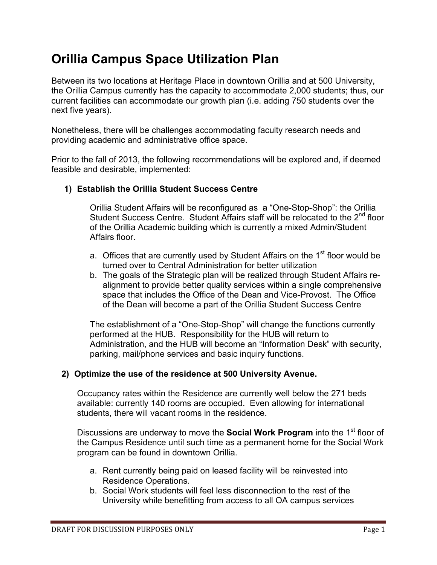# **Orillia Campus Space Utilization Plan**

Between its two locations at Heritage Place in downtown Orillia and at 500 University, the Orillia Campus currently has the capacity to accommodate 2,000 students; thus, our current facilities can accommodate our growth plan (i.e. adding 750 students over the next five years).

Nonetheless, there will be challenges accommodating faculty research needs and providing academic and administrative office space.

Prior to the fall of 2013, the following recommendations will be explored and, if deemed feasible and desirable, implemented:

## **1) Establish the Orillia Student Success Centre**

Orillia Student Affairs will be reconfigured as a "One-Stop-Shop": the Orillia Student Success Centre. Student Affairs staff will be relocated to the 2<sup>nd</sup> floor of the Orillia Academic building which is currently a mixed Admin/Student Affairs floor.

- a. Offices that are currently used by Student Affairs on the  $1<sup>st</sup>$  floor would be turned over to Central Administration for better utilization
- b. The goals of the Strategic plan will be realized through Student Affairs realignment to provide better quality services within a single comprehensive space that includes the Office of the Dean and Vice-Provost. The Office of the Dean will become a part of the Orillia Student Success Centre

The establishment of a "One-Stop-Shop" will change the functions currently performed at the HUB. Responsibility for the HUB will return to Administration, and the HUB will become an "Information Desk" with security, parking, mail/phone services and basic inquiry functions.

## **2) Optimize the use of the residence at 500 University Avenue.**

Occupancy rates within the Residence are currently well below the 271 beds available: currently 140 rooms are occupied. Even allowing for international students, there will vacant rooms in the residence.

Discussions are underway to move the **Social Work Program** into the 1<sup>st</sup> floor of the Campus Residence until such time as a permanent home for the Social Work program can be found in downtown Orillia.

- a. Rent currently being paid on leased facility will be reinvested into Residence Operations.
- b. Social Work students will feel less disconnection to the rest of the University while benefitting from access to all OA campus services